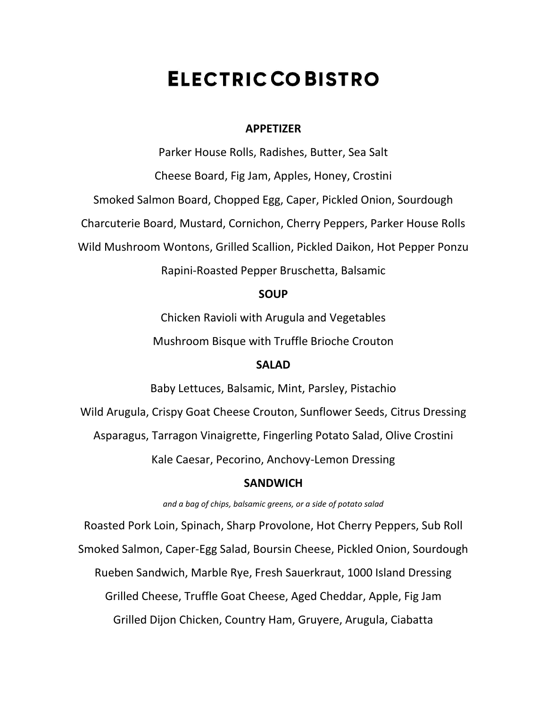# **ELECTRIC CO BISTRO**

### **APPETIZER**

Parker House Rolls, Radishes, Butter, Sea Salt Cheese Board, Fig Jam, Apples, Honey, Crostini Smoked Salmon Board, Chopped Egg, Caper, Pickled Onion, Sourdough Charcuterie Board, Mustard, Cornichon, Cherry Peppers, Parker House Rolls Wild Mushroom Wontons, Grilled Scallion, Pickled Daikon, Hot Pepper Ponzu Rapini-Roasted Pepper Bruschetta, Balsamic

## **SOUP**

Chicken Ravioli with Arugula and Vegetables

Mushroom Bisque with Truffle Brioche Crouton

### **SALAD**

Baby Lettuces, Balsamic, Mint, Parsley, Pistachio

Wild Arugula, Crispy Goat Cheese Crouton, Sunflower Seeds, Citrus Dressing Asparagus, Tarragon Vinaigrette, Fingerling Potato Salad, Olive Crostini Kale Caesar, Pecorino, Anchovy-Lemon Dressing

#### **SANDWICH**

*and a bag of chips, balsamic greens, or a side of potato salad*

Roasted Pork Loin, Spinach, Sharp Provolone, Hot Cherry Peppers, Sub Roll Smoked Salmon, Caper-Egg Salad, Boursin Cheese, Pickled Onion, Sourdough Rueben Sandwich, Marble Rye, Fresh Sauerkraut, 1000 Island Dressing Grilled Cheese, Truffle Goat Cheese, Aged Cheddar, Apple, Fig Jam Grilled Dijon Chicken, Country Ham, Gruyere, Arugula, Ciabatta